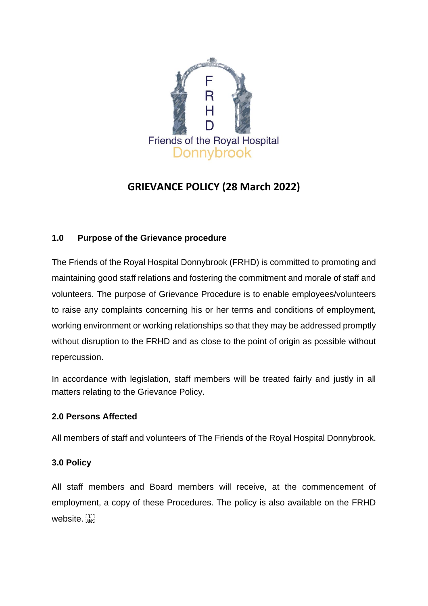

# **GRIEVANCE POLICY (28 March 2022)**

## **1.0 Purpose of the Grievance procedure**

The Friends of the Royal Hospital Donnybrook (FRHD) is committed to promoting and maintaining good staff relations and fostering the commitment and morale of staff and volunteers. The purpose of Grievance Procedure is to enable employees/volunteers to raise any complaints concerning his or her terms and conditions of employment, working environment or working relationships so that they may be addressed promptly without disruption to the FRHD and as close to the point of origin as possible without repercussion.

In accordance with legislation, staff members will be treated fairly and justly in all matters relating to the Grievance Policy.

#### **2.0 Persons Affected**

All members of staff and volunteers of The Friends of the Royal Hospital Donnybrook.

#### **3.0 Policy**

All staff members and Board members will receive, at the commencement of employment, a copy of these Procedures. The policy is also available on the FRHD website.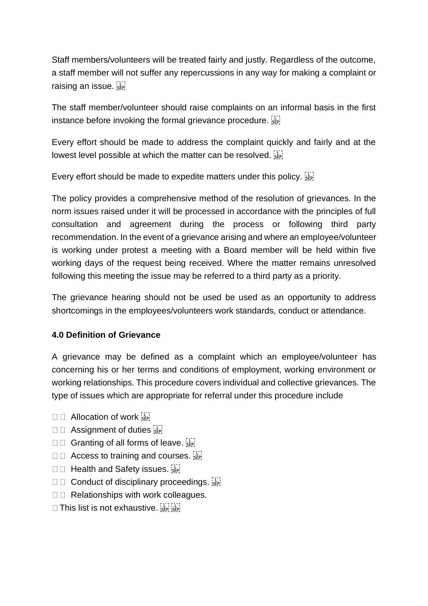Staff members/volunteers will be treated fairly and justly. Regardless of the outcome, a staff member will not suffer any repercussions in any way for making a complaint or raising an issue.

The staff member/volunteer should raise complaints on an informal basis in the first instance before invoking the formal grievance procedure.

Every effort should be made to address the complaint quickly and fairly and at the lowest level possible at which the matter can be resolved.

Every effort should be made to expedite matters under this policy.

The policy provides a comprehensive method of the resolution of grievances. In the norm issues raised under it will be processed in accordance with the principles of full consultation and agreement during the process or following third party recommendation. In the event of a grievance arising and where an employee/volunteer is working under protest a meeting with a Board member will be held within five working days of the request being received. Where the matter remains unresolved following this meeting the issue may be referred to a third party as a priority.

The grievance hearing should not be used be used as an opportunity to address shortcomings in the employees/volunteers work standards, conduct or attendance.

## **4.0 Definition of Grievance**

A grievance may be defined as a complaint which an employee/volunteer has concerning his or her terms and conditions of employment, working environment or working relationships. This procedure covers individual and collective grievances. The type of issues which are appropriate for referral under this procedure include

- $\square$   $\square$  Allocation of work  $\overline{\mathbb{R}}$
- $\square$   $\square$  Assignment of duties  $\overleftrightarrow{\text{sep}}$
- $\square \square$  Granting of all forms of leave.
- $\square$   $\square$  Access to training and courses.
- $\square$  Health and Safety issues.  $\overline{\mathbb{R}}$
- $\square \square$  Conduct of disciplinary proceedings.
- $\square$  Relationships with work colleagues.
- $\Box$  This list is not exhaustive.  $\frac{1}{155}$  is  $\frac{1}{155}$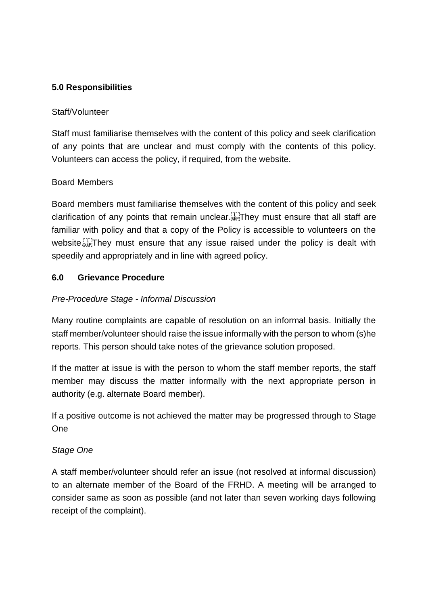#### **5.0 Responsibilities**

#### Staff/Volunteer

Staff must familiarise themselves with the content of this policy and seek clarification of any points that are unclear and must comply with the contents of this policy. Volunteers can access the policy, if required, from the website.

#### Board Members

Board members must familiarise themselves with the content of this policy and seek clarification of any points that remain unclear. They must ensure that all staff are familiar with policy and that a copy of the Policy is accessible to volunteers on the website.<sup>[1]</sup> They must ensure that any issue raised under the policy is dealt with speedily and appropriately and in line with agreed policy.

#### **6.0 Grievance Procedure**

#### *Pre-Procedure Stage - Informal Discussion*

Many routine complaints are capable of resolution on an informal basis. Initially the staff member/volunteer should raise the issue informally with the person to whom (s)he reports. This person should take notes of the grievance solution proposed.

If the matter at issue is with the person to whom the staff member reports, the staff member may discuss the matter informally with the next appropriate person in authority (e.g. alternate Board member).

If a positive outcome is not achieved the matter may be progressed through to Stage One

#### *Stage One*

A staff member/volunteer should refer an issue (not resolved at informal discussion) to an alternate member of the Board of the FRHD. A meeting will be arranged to consider same as soon as possible (and not later than seven working days following receipt of the complaint).